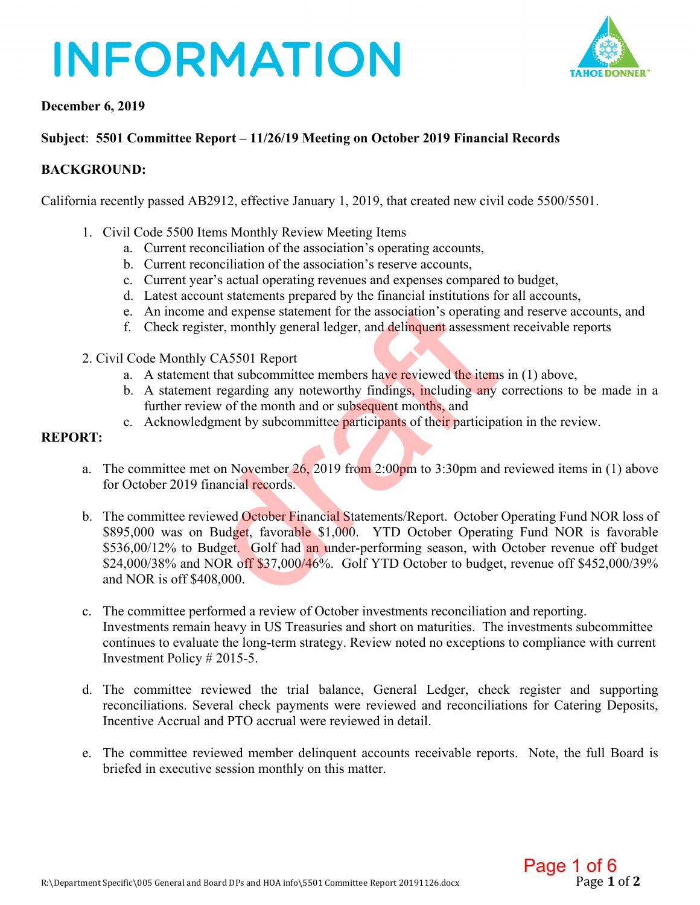# **INFORMATION**



### **December 6, 2019**

## **Subject**: **5501 Committee Report – 11/26/19 Meeting on October 2019 Financial Records**

## **BACKGROUND:**

California recently passed AB2912, effective January 1, 2019, that created new civil code 5500/5501.

- 1. Civil Code 5500 Items Monthly Review Meeting Items
	- a. Current reconciliation of the association's operating accounts,
	- b. Current reconciliation of the association's reserve accounts,
	- c. Current year's actual operating revenues and expenses compared to budget,
	- d. Latest account statements prepared by the financial institutions for all accounts,
	- e. An income and expense statement for the association's operating and reserve accounts, and
	- f. Check register, monthly general ledger, and delinquent assessment receivable reports
- 2. Civil Code Monthly CA5501 Report
	- a. A statement that subcommittee members have reviewed the items in (1) above,
	- b. A statement regarding any noteworthy findings, including any corrections to be made in a further review of the month and or subsequent months, and
	- c. Acknowledgment by subcommittee participants of their participation in the review.

## **REPORT:**

- a. The committee met on November  $26$ , 2019 from 2:00pm to 3:30pm and reviewed items in (1) above for October 2019 financial records.
- b. The committee reviewed October Financial Statements/Report. October Operating Fund NOR loss of \$895,000 was on Budget, favorable \$1,000. YTD October Operating Fund NOR is favorable \$536,00/12% to Budget. Golf had an under-performing season, with October revenue off budget \$24,000/38% and NOR off \$37,000/46%. Golf YTD October to budget, revenue off \$452,000/39% and NOR is off \$408,000. e and expense statement for the association's operating<br>gister, monthly general ledger, and delinquent assessme<br>gister, monthly general ledger, and delinquent assessme<br>by CA5501 Report<br>and that subcommittee members have re
- c. The committee performed a review of October investments reconciliation and reporting. Investments remain heavy in US Treasuries and short on maturities. The investments subcommittee continues to evaluate the long-term strategy. Review noted no exceptions to compliance with current Investment Policy # 2015-5.
- d. The committee reviewed the trial balance, General Ledger, check register and supporting reconciliations. Several check payments were reviewed and reconciliations for Catering Deposits, Incentive Accrual and PTO accrual were reviewed in detail.
- e. The committee reviewed member delinquent accounts receivable reports. Note, the full Board is briefed in executive session monthly on this matter.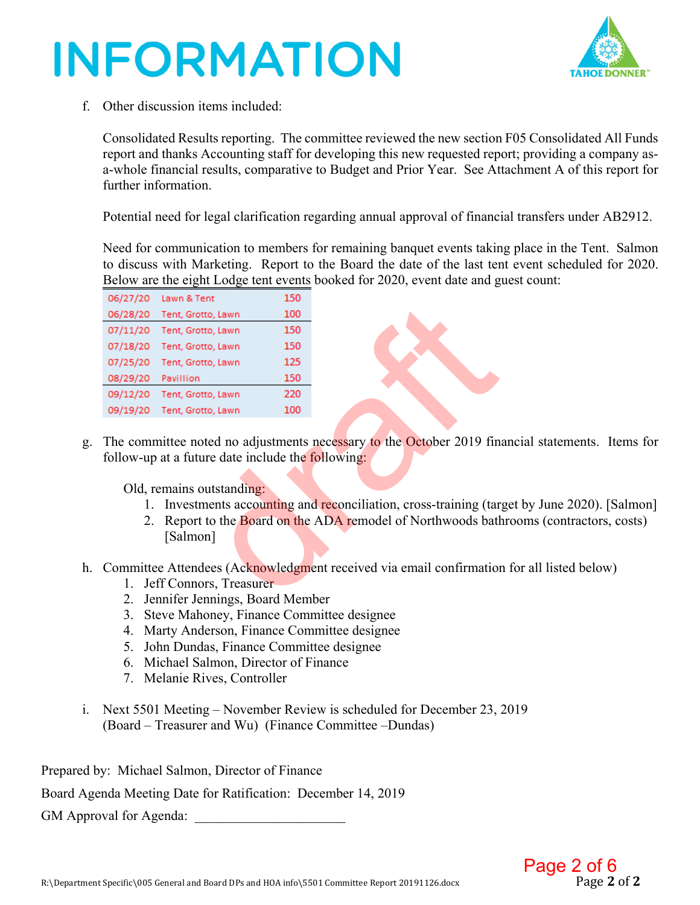# **INFORMATION**



f. Other discussion items included:

Consolidated Results reporting. The committee reviewed the new section F05 Consolidated All Funds report and thanks Accounting staff for developing this new requested report; providing a company asa-whole financial results, comparative to Budget and Prior Year. See Attachment A of this report for further information.

Potential need for legal clarification regarding annual approval of financial transfers under AB2912.

Need for communication to members for remaining banquet events taking place in the Tent. Salmon to discuss with Marketing. Report to the Board the date of the last tent event scheduled for 2020. Below are the eight Lodge tent events booked for 2020, event date and guest count:

| 06/27/20                                                                                                                                               | Lawn & Tent                                                         | 150 |  |  |  |  |  |  |  |  |
|--------------------------------------------------------------------------------------------------------------------------------------------------------|---------------------------------------------------------------------|-----|--|--|--|--|--|--|--|--|
|                                                                                                                                                        | 06/28/20 Tent, Grotto, Lawn                                         | 100 |  |  |  |  |  |  |  |  |
| 07/11/20                                                                                                                                               | Tent, Grotto, Lawn                                                  | 150 |  |  |  |  |  |  |  |  |
| 07/18/20                                                                                                                                               | Tent, Grotto, Lawn                                                  | 150 |  |  |  |  |  |  |  |  |
| 07/25/20                                                                                                                                               | Tent, Grotto, Lawn                                                  | 125 |  |  |  |  |  |  |  |  |
| 08/29/20                                                                                                                                               | Pavillion                                                           | 150 |  |  |  |  |  |  |  |  |
| 09/12/20                                                                                                                                               | Tent, Grotto, Lawn                                                  | 220 |  |  |  |  |  |  |  |  |
| 09/19/20                                                                                                                                               | Tent, Grotto, Lawn                                                  | 100 |  |  |  |  |  |  |  |  |
| The committee noted no adjustments necessary to the October 2019 fin<br>follow-up at a future date include the following:<br>Old, remains outstanding: |                                                                     |     |  |  |  |  |  |  |  |  |
| 1.                                                                                                                                                     | Investments accounting and reconciliation, cross-training (tar      |     |  |  |  |  |  |  |  |  |
| 2.                                                                                                                                                     | Report to the Board on the ADA remodel of Northwoods bat            |     |  |  |  |  |  |  |  |  |
|                                                                                                                                                        | [Salmon]                                                            |     |  |  |  |  |  |  |  |  |
|                                                                                                                                                        | Committee Attendees (Acknowledgment received via email confirmation |     |  |  |  |  |  |  |  |  |
| 1.                                                                                                                                                     | Jeff Connors, Treasurer                                             |     |  |  |  |  |  |  |  |  |
| 7                                                                                                                                                      | <b>Lennifer Lennings, Roard Member</b>                              |     |  |  |  |  |  |  |  |  |

g. The committee noted no adjustments necessary to the October 2019 financial statements. Items for follow-up at a future date include the **following**:

- 1. Investments accounting and reconciliation, cross-training (target by June 2020). [Salmon]
- 2. Report to the **Board on the ADA remodel of Northwoods bathrooms (contractors, costs)** [Salmon]
- h. Committee Attendees (Acknowledgment received via email confirmation for all listed below)
	- 1. Jeff Connors, Treasurer
	- 2. Jennifer Jennings, Board Member
	- 3. Steve Mahoney, Finance Committee designee
	- 4. Marty Anderson, Finance Committee designee
	- 5. John Dundas, Finance Committee designee
	- 6. Michael Salmon, Director of Finance
	- 7. Melanie Rives, Controller
- i. Next 5501 Meeting November Review is scheduled for December 23, 2019 (Board – Treasurer and Wu) (Finance Committee –Dundas)

Prepared by: Michael Salmon, Director of Finance

Board Agenda Meeting Date for Ratification: December 14, 2019

GM Approval for Agenda: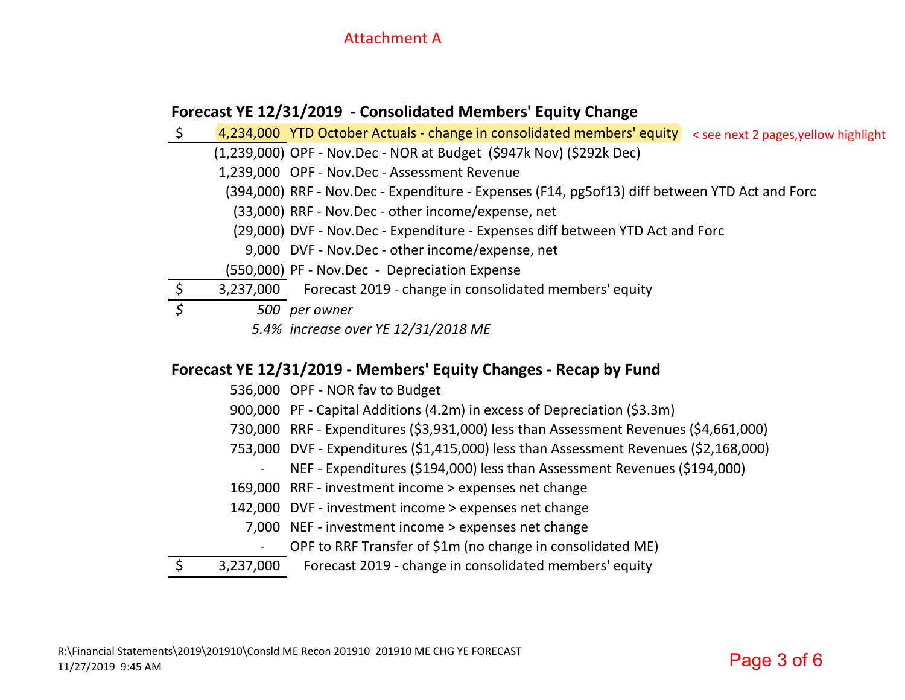# Attachment A

# **Forecast YE 12/31/2019 ‐ Consolidated Members' Equity Change**

\$ 4,234,000 YTD October Actuals ‐ change in consolidated members' equity < see next 2 pages,yellow highlight(1,239,000) OPF ‐ Nov.Dec ‐ NOR at Budget (\$947k Nov) (\$292k Dec) 1,239,000 OPF ‐ Nov.Dec ‐ Assessment Revenue (394,000) RRF ‐ Nov.Dec ‐ Expenditure ‐ Expenses (F14, pg5of13) diff between YTD Act and Forc (33,000) RRF ‐ Nov.Dec ‐ other income/expense, net (29,000) DVF ‐ Nov.Dec ‐ Expenditure ‐ Expenses diff between YTD Act and Forc 9,000 DVF ‐ Nov.Dec ‐ other income/expense, net (550,000) PF ‐ Nov.Dec ‐ Depreciation Expense 3,237,000 Forecast 2019 - change in consolidated members' equity *\$ 500 per owner 5.4% increase over YE 12/31/2018 ME*

# **Forecast YE 12/31/2019 ‐ Members' Equity Changes ‐ Recap by Fund**

- 536,000 OPF ‐ NOR fav to Budget
- 900,000 PF Capital Additions (4.2m) in excess of Depreciation (\$3.3m)
- 730,000 RRF ‐ Expenditures (\$3,931,000) less than Assessment Revenues (\$4,661,000)
- 753,000 DVF ‐ Expenditures (\$1,415,000) less than Assessment Revenues (\$2,168,000)
	- ‐ NEF ‐ Expenditures (\$194,000) less than Assessment Revenues (\$194,000)
- 169,000 RRF ‐ investment income <sup>&</sup>gt; expenses net change
- 142,000 DVF ‐ investment income <sup>&</sup>gt; expenses net change
	- 7,000 NEF ‐ investment income <sup>&</sup>gt; expenses net change
		- $\blacksquare$ OPF to RRF Transfer of \$1m (no change in consolidated ME)
- \$ 3,237,000 Forecast 2019 ‐ change in consolidated members' equity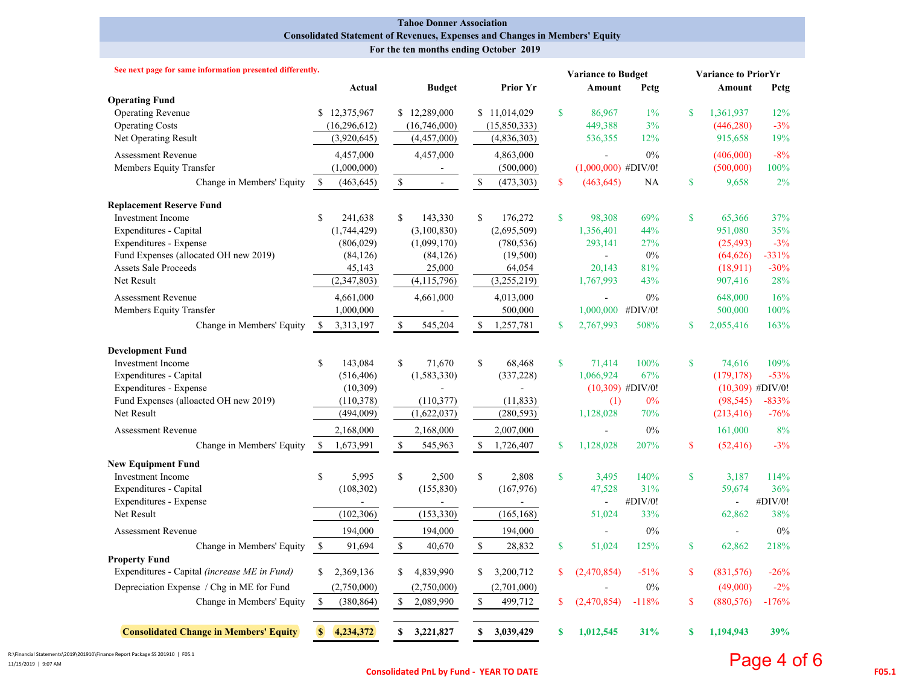#### **Tahoe Donner Association Consolidated Statement of Revenues, Expenses and Changes in Members' Equity**

 **For the ten months ending October 2019**

| See next page for same information presented differently.                                                                                                                                                                |                                                                                                               |                                                                                          |                                                                                                 |                                                                     | <b>Variance to Budget</b>                                                        | <b>Variance to PriorYr</b>        |                                                                         |                                                                          |  |  |  |
|--------------------------------------------------------------------------------------------------------------------------------------------------------------------------------------------------------------------------|---------------------------------------------------------------------------------------------------------------|------------------------------------------------------------------------------------------|-------------------------------------------------------------------------------------------------|---------------------------------------------------------------------|----------------------------------------------------------------------------------|-----------------------------------|-------------------------------------------------------------------------|--------------------------------------------------------------------------|--|--|--|
|                                                                                                                                                                                                                          | Actual                                                                                                        | <b>Budget</b>                                                                            | <b>Prior Yr</b>                                                                                 |                                                                     | Amount<br>Petg                                                                   |                                   | Amount                                                                  | Petg                                                                     |  |  |  |
| <b>Operating Fund</b><br><b>Operating Revenue</b><br><b>Operating Costs</b><br>Net Operating Result                                                                                                                      | \$12,375,967<br>(16, 296, 612)<br>(3,920,645)                                                                 | \$12,289,000<br>(16,746,000)<br>(4,457,000)                                              | \$11,014,029<br>(15, 850, 333)<br>(4,836,303)                                                   | $\mathbf{s}$<br>86,967<br>449,388<br>536,355                        | $1\%$<br>3%<br>12%                                                               | $\mathbf{s}$                      | 1,361,937<br>(446, 280)<br>915,658                                      | 12%<br>$-3%$<br>19%                                                      |  |  |  |
| <b>Assessment Revenue</b><br>Members Equity Transfer<br>Change in Members' Equity                                                                                                                                        | 4,457,000<br>(1,000,000)<br><sup>S</sup><br>(463, 645)                                                        | 4,457,000<br>$\mathbb S$<br>$\sim$                                                       | 4,863,000<br>(500,000)<br>$\mathbb{S}$<br>(473, 303)                                            | $\mathbf S$<br>(463, 645)                                           | 0%<br>$(1,000,000)$ #DIV/0!<br>NA                                                | $\mathbf{s}$                      | (406,000)<br>(500,000)<br>9,658                                         | $-8%$<br>100%<br>$2\%$                                                   |  |  |  |
| <b>Replacement Reserve Fund</b><br><b>Investment Income</b><br>Expenditures - Capital<br>Expenditures - Expense<br>Fund Expenses (allocated OH new 2019)<br><b>Assets Sale Proceeds</b><br>Net Result                    | \$<br>241.638<br>(1,744,429)<br>(806, 029)<br>(84, 126)<br>45,143<br>(2,347,803)                              | \$<br>143,330<br>(3,100,830)<br>(1,099,170)<br>(84, 126)<br>25,000<br>(4, 115, 796)      | \$.<br>176,272<br>(2,695,509)<br>(780, 536)<br>(19,500)<br>64,054<br>(3,255,219)                | $\mathbf{s}$<br>1,356,401<br>293,141<br>20,143<br>1,767,993         | 98.308<br>69%<br>44%<br>27%<br>0%<br>$\overline{a}$<br>81%<br>43%                | $\mathbf{s}$                      | 65.366<br>951,080<br>(25, 493)<br>(64, 626)<br>(18,911)<br>907,416      | 37%<br>35%<br>$-3%$<br>$-331%$<br>$-30%$<br>28%                          |  |  |  |
| <b>Assessment Revenue</b><br>Members Equity Transfer<br>Change in Members' Equity                                                                                                                                        | 4,661,000<br>1,000,000<br><sup>\$</sup><br>3,313,197                                                          | 4,661,000<br>÷<br>$\mathbb S$<br>545,204                                                 | 4,013,000<br>500,000<br>$\mathbb{S}$<br>1,257,781                                               | $\mathbf S$<br>2,767,993                                            | 0%<br>$\overline{a}$<br>1,000,000 #DIV/0!<br>508%                                | $\mathbf S$                       | 648,000<br>500,000<br>2,055,416                                         | 16%<br>100%<br>163%                                                      |  |  |  |
| <b>Development Fund</b><br><b>Investment</b> Income<br>Expenditures - Capital<br>Expenditures - Expense<br>Fund Expenses (alloacted OH new 2019)<br>Net Result<br><b>Assessment Revenue</b><br>Change in Members' Equity | \$<br>143,084<br>(516, 406)<br>(10, 309)<br>(110, 378)<br>(494,009)<br>2,168,000<br><sup>S</sup><br>1,673,991 | \$<br>71,670<br>(1, 583, 330)<br>(110, 377)<br>(1,622,037)<br>2,168,000<br>\$<br>545,963 | $\mathbb{S}$<br>68,468<br>(337, 228)<br>(11, 833)<br>(280, 593)<br>2,007,000<br>\$<br>1,726,407 | $\mathbf{s}$<br>1,066,924<br>1,128,028<br>$\mathbf{s}$<br>1,128,028 | 100%<br>71,414<br>67%<br>$(10,309)$ #DIV/0!<br>$0\%$<br>(1)<br>70%<br>0%<br>207% | $\mathbf S$<br>$\mathbf S$        | 74,616<br>(179, 178)<br>(98, 545)<br>(213, 416)<br>161,000<br>(52, 416) | 109%<br>$-53%$<br>$(10,309)$ #DIV/0!<br>$-833%$<br>$-76%$<br>8%<br>$-3%$ |  |  |  |
| <b>New Equipment Fund</b><br><b>Investment Income</b><br>Expenditures - Capital<br>Expenditures - Expense<br>Net Result<br><b>Assessment Revenue</b><br>Change in Members' Equity                                        | \$<br>5,995<br>(108, 302)<br>(102, 306)<br>194,000<br>-S<br>91,694                                            | $\mathbf S$<br>2,500<br>(155, 830)<br>(153, 330)<br>194,000<br>\$<br>40,670              | \$<br>2,808<br>(167, 976)<br>(165, 168)<br>194,000<br>$\mathbb{S}$<br>28,832                    | $\mathbf{s}$<br>47,528<br>51,024<br>\$<br>51,024                    | 3,495<br>140%<br>31%<br>#DIV/0!<br>33%<br>0%<br>125%                             | $\mathbf S$<br>$\mathbf{\hat{s}}$ | 3,187<br>59,674<br>$\blacksquare$<br>62,862<br>÷.<br>62,862             | 114%<br>36%<br>#DIV/0!<br>38%<br>$0\%$<br>218%                           |  |  |  |
| <b>Property Fund</b><br>Expenditures - Capital (increase ME in Fund)<br>Depreciation Expense / Chg in ME for Fund<br>Change in Members' Equity                                                                           | 2,369,136<br>\$<br>(2,750,000)<br>$\mathbb{S}$<br>(380, 864)                                                  | 4,839,990<br>\$<br>(2,750,000)<br>$\mathbb{S}$<br>2,089,990                              | \$<br>3,200,712<br>(2,701,000)<br>$\mathbb{S}$<br>499,712                                       | \$<br>(2,470,854)<br>$\mathbf S$<br>(2,470,854)                     | $-51%$<br>$0\%$<br>$-118%$                                                       | $\mathbf S$<br>$\mathbf S$        | (831, 576)<br>(49,000)<br>(880, 576)                                    | $-26%$<br>$-2\%$<br>$-176%$                                              |  |  |  |
| <b>Consolidated Change in Members' Equity</b>                                                                                                                                                                            | 4,234,372<br>$\mathbf{s}$                                                                                     | \$<br>3,221,827                                                                          | \$<br>3,039,429                                                                                 | $\mathbf{s}$<br>1,012,545                                           | 31%                                                                              | \$                                | 1,194,943                                                               | 39%                                                                      |  |  |  |

R:\Financial Statements\2019\201910\Finance Report Package SS 201910 | F05.1 11/15/2019 | 9:07 AM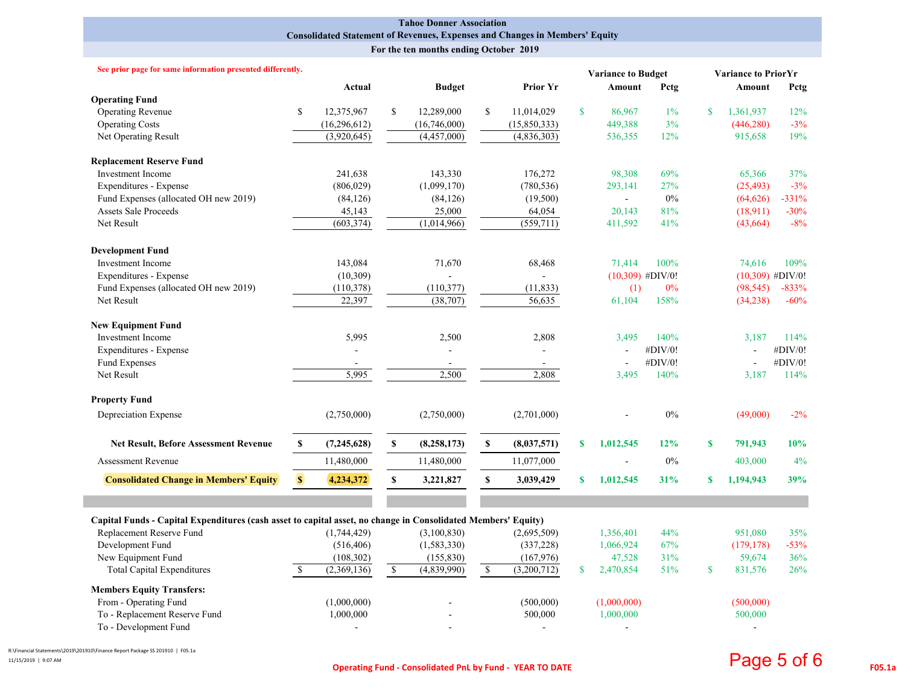#### **Tahoe Donner Association Consolidated Statement of Revenues, Expenses and Changes in Members' Equity**

 **For the ten months ending October 2019**

| See prior page for same information presented differently.                                                    |               |                |              |               |    |                |              | <b>Variance to Budget</b> |                    | <b>Variance to PriorYr</b> |                    |         |  |
|---------------------------------------------------------------------------------------------------------------|---------------|----------------|--------------|---------------|----|----------------|--------------|---------------------------|--------------------|----------------------------|--------------------|---------|--|
|                                                                                                               |               | Actual         |              | <b>Budget</b> |    | Prior Yr       |              | Amount                    | Petg               |                            | Amount             | Petg    |  |
| <b>Operating Fund</b>                                                                                         |               |                |              |               |    |                |              |                           |                    |                            |                    |         |  |
| <b>Operating Revenue</b>                                                                                      | <sup>\$</sup> | 12,375,967     | \$           | 12,289,000    | \$ | 11,014,029     | $\mathbf{s}$ | 86,967                    | $1\%$              | $\mathbf{\$}$              | 1,361,937          | 12%     |  |
| <b>Operating Costs</b>                                                                                        |               | (16, 296, 612) |              | (16,746,000)  |    | (15, 850, 333) |              | 449,388                   | 3%                 |                            | (446, 280)         | $-3%$   |  |
| Net Operating Result                                                                                          |               | (3,920,645)    |              | (4,457,000)   |    | (4,836,303)    |              | 536,355                   | 12%                |                            | 915,658            | 19%     |  |
| <b>Replacement Reserve Fund</b>                                                                               |               |                |              |               |    |                |              |                           |                    |                            |                    |         |  |
| <b>Investment Income</b>                                                                                      |               | 241,638        |              | 143,330       |    | 176,272        |              | 98,308                    | 69%                |                            | 65,366             | 37%     |  |
| <b>Expenditures - Expense</b>                                                                                 |               | (806, 029)     |              | (1,099,170)   |    | (780, 536)     |              | 293,141                   | 27%                |                            | (25, 493)          | $-3%$   |  |
| Fund Expenses (allocated OH new 2019)                                                                         |               | (84, 126)      |              | (84, 126)     |    | (19,500)       |              | $\omega_{\rm c}$          | $0\%$              |                            | (64, 626)          | $-331%$ |  |
| <b>Assets Sale Proceeds</b>                                                                                   |               | 45,143         |              | 25,000        |    | 64,054         |              | 20,143                    | 81%                |                            | (18,911)           | $-30%$  |  |
| Net Result                                                                                                    |               | (603, 374)     | (1,014,966)  |               |    | (559, 711)     |              | 411,592                   | 41%                |                            | (43, 664)          | $-8%$   |  |
| <b>Development Fund</b>                                                                                       |               |                |              |               |    |                |              |                           |                    |                            |                    |         |  |
| <b>Investment Income</b>                                                                                      |               | 143,084        |              | 71,670        |    | 68,468         |              | 71.414                    | 100%               |                            | 74,616             | 109%    |  |
| Expenditures - Expense                                                                                        |               | (10, 309)      |              |               |    |                |              |                           | $(10,309)$ #DIV/0! |                            | $(10,309)$ #DIV/0! |         |  |
| Fund Expenses (allocated OH new 2019)                                                                         |               | (110,378)      |              | (110, 377)    |    | (11, 833)      |              | (1)                       | $0\%$              |                            | (98, 545)          | $-833%$ |  |
| Net Result                                                                                                    |               | 22,397         |              | (38,707)      |    | 56,635         |              | 61,104                    | 158%               |                            | (34,238)           | $-60%$  |  |
| <b>New Equipment Fund</b>                                                                                     |               |                |              |               |    |                |              |                           |                    |                            |                    |         |  |
| <b>Investment Income</b>                                                                                      |               | 5,995          |              | 2,500         |    | 2,808          |              | 3,495                     | 140%               |                            | 3.187              | 114%    |  |
| Expenditures - Expense                                                                                        |               |                |              |               |    |                |              |                           | #DIV/0!            |                            |                    | #DIV/0! |  |
| Fund Expenses                                                                                                 |               |                |              |               |    |                |              | $\overline{\phantom{a}}$  | #DIV/0!            |                            |                    | #DIV/0! |  |
| Net Result                                                                                                    |               | 5,995          |              | 2,500         |    | 2,808          |              | 3,495                     | 140%               |                            | 3,187              | 114%    |  |
| <b>Property Fund</b>                                                                                          |               |                |              |               |    |                |              |                           |                    |                            |                    |         |  |
| Depreciation Expense                                                                                          |               | (2,750,000)    |              | (2,750,000)   |    | (2,701,000)    |              |                           | $0\%$              |                            | (49,000)           | $-2\%$  |  |
| <b>Net Result, Before Assessment Revenue</b>                                                                  | $\mathbf S$   | (7,245,628)    | $\mathbf{s}$ | (8, 258, 173) | S. | (8,037,571)    | $\mathbf{s}$ | 1,012,545                 | 12%                | $\mathbf{s}$               | 791,943            | 10%     |  |
| <b>Assessment Revenue</b>                                                                                     |               | 11,480,000     |              | 11,480,000    |    | 11,077,000     |              |                           | $0\%$              |                            | 403,000            | 4%      |  |
| <b>Consolidated Change in Members' Equity</b>                                                                 | $\mathbb{S}$  | 4,234,372      | $\mathbb S$  | 3,221,827     | \$ | 3,039,429      | $\mathbf{s}$ | 1,012,545                 | 31%                | $\mathbf{s}$               | 1,194,943          | 39%     |  |
|                                                                                                               |               |                |              |               |    |                |              |                           |                    |                            |                    |         |  |
| Capital Funds - Capital Expenditures (cash asset to capital asset, no change in Consolidated Members' Equity) |               |                |              |               |    |                |              |                           |                    |                            |                    |         |  |
| Replacement Reserve Fund                                                                                      |               | (1,744,429)    |              | (3,100,830)   |    | (2,695,509)    |              | 1,356,401                 | 44%                |                            | 951,080            | 35%     |  |
| Development Fund                                                                                              |               | (516, 406)     |              | (1,583,330)   |    | (337, 228)     |              | 1,066,924                 | 67%                |                            | (179, 178)         | $-53%$  |  |
| New Equipment Fund                                                                                            |               | (108, 302)     |              | (155, 830)    |    | (167, 976)     |              | 47,528                    | 31%                |                            | 59,674             | 36%     |  |
| <b>Total Capital Expenditures</b>                                                                             |               | (2,369,136)    | \$           | (4,839,990)   | \$ | (3,200,712)    | $\mathbf{s}$ | 2,470,854                 | 51%                | \$                         | 831,576            | 26%     |  |
| <b>Members Equity Transfers:</b>                                                                              |               |                |              |               |    |                |              |                           |                    |                            |                    |         |  |
| From - Operating Fund                                                                                         |               | (1,000,000)    |              |               |    | (500,000)      |              | (1,000,000)               |                    |                            | (500,000)          |         |  |
| To - Replacement Reserve Fund                                                                                 |               | 1,000,000      |              |               |    | 500,000        |              | 1,000,000                 |                    |                            | 500,000            |         |  |
| To - Development Fund                                                                                         |               | $\sim$         |              |               |    |                |              | $\sim$                    |                    |                            | $\blacksquare$     |         |  |